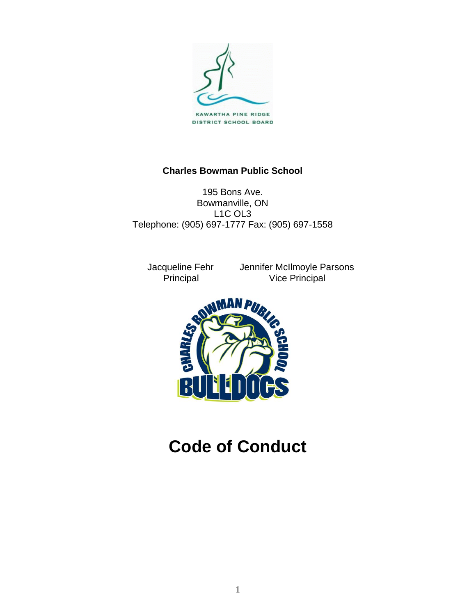

# **Charles Bowman Public School**

195 Bons Ave. Bowmanville, ON L1C OL3 Telephone: (905) 697-1777 Fax: (905) 697-1558

 Jacqueline Fehr Jennifer McIlmoyle Parsons Vice Principal



**Code of Conduct**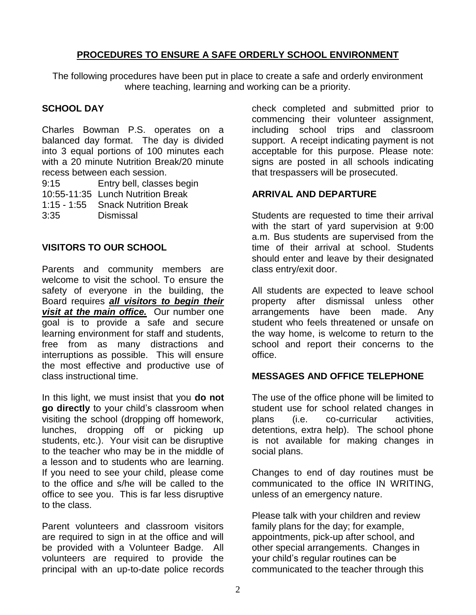# **PROCEDURES TO ENSURE A SAFE ORDERLY SCHOOL ENVIRONMENT**

The following procedures have been put in place to create a safe and orderly environment where teaching, learning and working can be a priority.

# **SCHOOL DAY**

Charles Bowman P.S. operates on a balanced day format. The day is divided into 3 equal portions of 100 minutes each with a 20 minute Nutrition Break/20 minute recess between each session.

9:15 Entry bell, classes begin 10:55-11:35 Lunch Nutrition Break 1:15 - 1:55 Snack Nutrition Break 3:35 Dismissal

# **VISITORS TO OUR SCHOOL**

Parents and community members are welcome to visit the school. To ensure the safety of everyone in the building, the Board requires *all visitors to begin their visit at the main office.* Our number one goal is to provide a safe and secure learning environment for staff and students, free from as many distractions and interruptions as possible. This will ensure the most effective and productive use of class instructional time.

In this light, we must insist that you **do not go directly** to your child's classroom when visiting the school (dropping off homework, lunches, dropping off or picking up students, etc.). Your visit can be disruptive to the teacher who may be in the middle of a lesson and to students who are learning. If you need to see your child, please come to the office and s/he will be called to the office to see you. This is far less disruptive to the class.

Parent volunteers and classroom visitors are required to sign in at the office and will be provided with a Volunteer Badge. All volunteers are required to provide the principal with an up-to-date police records

check completed and submitted prior to commencing their volunteer assignment, including school trips and classroom support. A receipt indicating payment is not acceptable for this purpose. Please note: signs are posted in all schools indicating that trespassers will be prosecuted.

# **ARRIVAL AND DEPARTURE**

Students are requested to time their arrival with the start of yard supervision at 9:00 a.m. Bus students are supervised from the time of their arrival at school. Students should enter and leave by their designated class entry/exit door.

All students are expected to leave school property after dismissal unless other arrangements have been made. Any student who feels threatened or unsafe on the way home, is welcome to return to the school and report their concerns to the office.

# **MESSAGES AND OFFICE TELEPHONE**

The use of the office phone will be limited to student use for school related changes in plans (i.e. co-curricular activities, detentions, extra help). The school phone is not available for making changes in social plans.

Changes to end of day routines must be communicated to the office IN WRITING, unless of an emergency nature.

Please talk with your children and review family plans for the day; for example, appointments, pick-up after school, and other special arrangements. Changes in your child's regular routines can be communicated to the teacher through this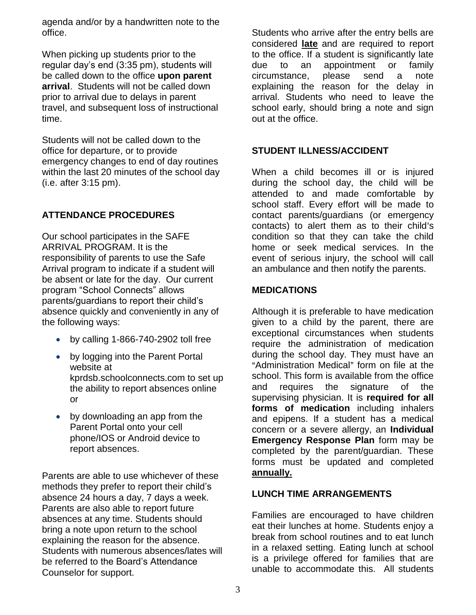agenda and/or by a handwritten note to the office.

When picking up students prior to the regular day's end (3:35 pm), students will be called down to the office **upon parent arrival**. Students will not be called down prior to arrival due to delays in parent travel, and subsequent loss of instructional time.

Students will not be called down to the office for departure, or to provide emergency changes to end of day routines within the last 20 minutes of the school day (i.e. after 3:15 pm).

# **ATTENDANCE PROCEDURES**

Our school participates in the SAFE ARRIVAL PROGRAM. It is the responsibility of parents to use the Safe Arrival program to indicate if a student will be absent or late for the day. Our current program "School Connects" allows parents/guardians to report their child's absence quickly and conveniently in any of the following ways:

- by calling 1-866-740-2902 toll free
- by logging into the Parent Portal website at kprdsb.schoolconnects.com to set up the ability to report absences online or
- by downloading an app from the Parent Portal onto your cell phone/IOS or Android device to report absences.

Parents are able to use whichever of these methods they prefer to report their child's absence 24 hours a day, 7 days a week. Parents are also able to report future absences at any time. Students should bring a note upon return to the school explaining the reason for the absence. Students with numerous absences/lates will be referred to the Board's Attendance Counselor for support.

Students who arrive after the entry bells are considered **late** and are required to report to the office. If a student is significantly late due to an appointment or family circumstance, please send a note explaining the reason for the delay in arrival. Students who need to leave the school early, should bring a note and sign out at the office.

### **STUDENT ILLNESS/ACCIDENT**

When a child becomes ill or is injured during the school day, the child will be attended to and made comfortable by school staff. Every effort will be made to contact parents/guardians (or emergency contacts) to alert them as to their child's condition so that they can take the child home or seek medical services. In the event of serious injury, the school will call an ambulance and then notify the parents.

#### **MEDICATIONS**

Although it is preferable to have medication given to a child by the parent, there are exceptional circumstances when students require the administration of medication during the school day. They must have an "Administration Medical" form on file at the school. This form is available from the office and requires the signature of the supervising physician. It is **required for all forms of medication** including inhalers and epipens. If a student has a medical concern or a severe allergy, an **Individual Emergency Response Plan** form may be completed by the parent/guardian. These forms must be updated and completed **annually.**

#### **LUNCH TIME ARRANGEMENTS**

Families are encouraged to have children eat their lunches at home. Students enjoy a break from school routines and to eat lunch in a relaxed setting. Eating lunch at school is a privilege offered for families that are unable to accommodate this. All students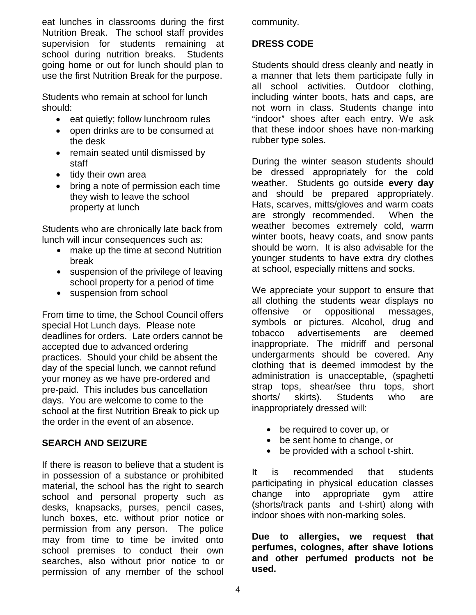eat lunches in classrooms during the first Nutrition Break. The school staff provides supervision for students remaining at school during nutrition breaks. Students going home or out for lunch should plan to use the first Nutrition Break for the purpose.

Students who remain at school for lunch should:

- eat quietly; follow lunchroom rules
- open drinks are to be consumed at the desk
- remain seated until dismissed by staff
- tidy their own area
- bring a note of permission each time they wish to leave the school property at lunch

Students who are chronically late back from lunch will incur consequences such as:

- make up the time at second Nutrition break
- suspension of the privilege of leaving school property for a period of time
- suspension from school

From time to time, the School Council offers special Hot Lunch days. Please note deadlines for orders. Late orders cannot be accepted due to advanced ordering practices. Should your child be absent the day of the special lunch, we cannot refund your money as we have pre-ordered and pre-paid. This includes bus cancellation days. You are welcome to come to the school at the first Nutrition Break to pick up the order in the event of an absence.

#### **SEARCH AND SEIZURE**

If there is reason to believe that a student is in possession of a substance or prohibited material, the school has the right to search school and personal property such as desks, knapsacks, purses, pencil cases, lunch boxes, etc. without prior notice or permission from any person. The police may from time to time be invited onto school premises to conduct their own searches, also without prior notice to or permission of any member of the school

community.

# **DRESS CODE**

Students should dress cleanly and neatly in a manner that lets them participate fully in all school activities. Outdoor clothing, including winter boots, hats and caps, are not worn in class. Students change into "indoor" shoes after each entry. We ask that these indoor shoes have non-marking rubber type soles.

During the winter season students should be dressed appropriately for the cold weather. Students go outside **every day** and should be prepared appropriately. Hats, scarves, mitts/gloves and warm coats are strongly recommended. When the weather becomes extremely cold, warm winter boots, heavy coats, and snow pants should be worn. It is also advisable for the younger students to have extra dry clothes at school, especially mittens and socks.

We appreciate your support to ensure that all clothing the students wear displays no offensive or oppositional messages, symbols or pictures. Alcohol, drug and tobacco advertisements are deemed inappropriate. The midriff and personal undergarments should be covered. Any clothing that is deemed immodest by the administration is unacceptable, (spaghetti strap tops, shear/see thru tops, short shorts/ skirts). Students who are inappropriately dressed will:

- $\bullet$  be required to cover up, or
- be sent home to change, or
- $\bullet$  be provided with a school t-shirt.

It is recommended that students participating in physical education classes change into appropriate gym attire (shorts/track pants and t-shirt) along with indoor shoes with non-marking soles.

**Due to allergies, we request that perfumes, colognes, after shave lotions and other perfumed products not be used.**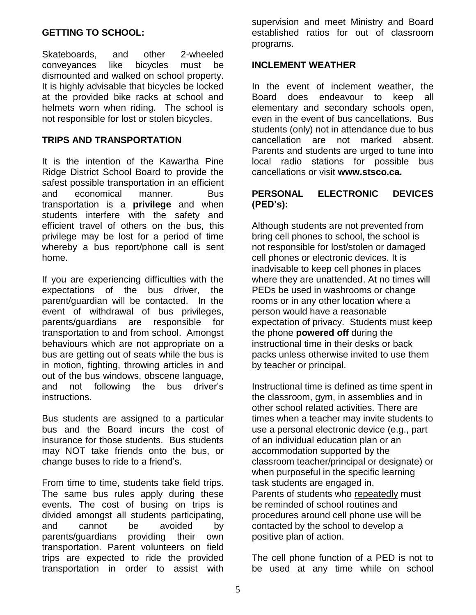#### **GETTING TO SCHOOL:**

Skateboards, and other 2-wheeled conveyances like bicycles must be dismounted and walked on school property. It is highly advisable that bicycles be locked at the provided bike racks at school and helmets worn when riding. The school is not responsible for lost or stolen bicycles.

### **TRIPS AND TRANSPORTATION**

It is the intention of the Kawartha Pine Ridge District School Board to provide the safest possible transportation in an efficient and economical manner. Bus transportation is a **privilege** and when students interfere with the safety and efficient travel of others on the bus, this privilege may be lost for a period of time whereby a bus report/phone call is sent home.

If you are experiencing difficulties with the expectations of the bus driver, the parent/guardian will be contacted. In the event of withdrawal of bus privileges, parents/guardians are responsible for transportation to and from school. Amongst behaviours which are not appropriate on a bus are getting out of seats while the bus is in motion, fighting, throwing articles in and out of the bus windows, obscene language, and not following the bus driver's instructions.

Bus students are assigned to a particular bus and the Board incurs the cost of insurance for those students. Bus students may NOT take friends onto the bus, or change buses to ride to a friend's.

From time to time, students take field trips. The same bus rules apply during these events. The cost of busing on trips is divided amongst all students participating, and cannot be avoided by parents/guardians providing their own transportation. Parent volunteers on field trips are expected to ride the provided transportation in order to assist with

supervision and meet Ministry and Board established ratios for out of classroom programs.

#### **INCLEMENT WEATHER**

In the event of inclement weather, the Board does endeavour to keep all elementary and secondary schools open, even in the event of bus cancellations. Bus students (only) not in attendance due to bus cancellation are not marked absent. Parents and students are urged to tune into local radio stations for possible bus cancellations or visit **www.stsco.ca.**

#### **PERSONAL ELECTRONIC DEVICES (PED's):**

Although students are not prevented from bring cell phones to school, the school is not responsible for lost/stolen or damaged cell phones or electronic devices. It is inadvisable to keep cell phones in places where they are unattended. At no times will PEDs be used in washrooms or change rooms or in any other location where a person would have a reasonable expectation of privacy. Students must keep the phone **powered off** during the instructional time in their desks or back packs unless otherwise invited to use them by teacher or principal.

Instructional time is defined as time spent in the classroom, gym, in assemblies and in other school related activities. There are times when a teacher may invite students to use a personal electronic device (e.g., part of an individual education plan or an accommodation supported by the classroom teacher/principal or designate) or when purposeful in the specific learning task students are engaged in. Parents of students who repeatedly must be reminded of school routines and procedures around cell phone use will be contacted by the school to develop a positive plan of action.

The cell phone function of a PED is not to be used at any time while on school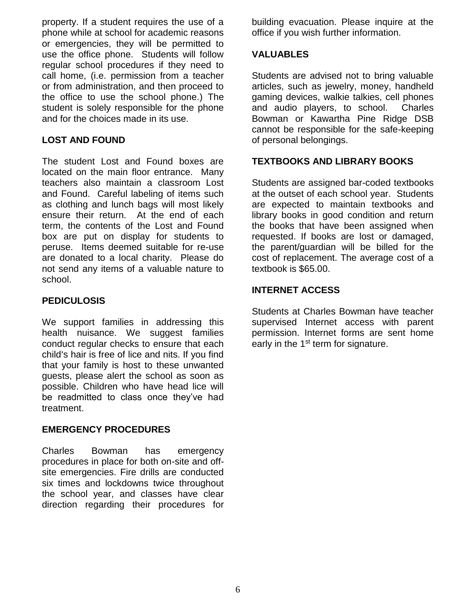property. If a student requires the use of a phone while at school for academic reasons or emergencies, they will be permitted to use the office phone. Students will follow regular school procedures if they need to call home, (i.e. permission from a teacher or from administration, and then proceed to the office to use the school phone.) The student is solely responsible for the phone and for the choices made in its use.

# **LOST AND FOUND**

The student Lost and Found boxes are located on the main floor entrance. Many teachers also maintain a classroom Lost and Found. Careful labeling of items such as clothing and lunch bags will most likely ensure their return. At the end of each term, the contents of the Lost and Found box are put on display for students to peruse. Items deemed suitable for re-use are donated to a local charity. Please do not send any items of a valuable nature to school.

### **PEDICULOSIS**

We support families in addressing this health nuisance. We suggest families conduct regular checks to ensure that each child's hair is free of lice and nits. If you find that your family is host to these unwanted guests, please alert the school as soon as possible. Children who have head lice will be readmitted to class once they've had treatment.

#### **EMERGENCY PROCEDURES**

Charles Bowman has emergency procedures in place for both on-site and offsite emergencies. Fire drills are conducted six times and lockdowns twice throughout the school year, and classes have clear direction regarding their procedures for building evacuation. Please inquire at the office if you wish further information.

### **VALUABLES**

Students are advised not to bring valuable articles, such as jewelry, money, handheld gaming devices, walkie talkies, cell phones and audio players, to school. Charles Bowman or Kawartha Pine Ridge DSB cannot be responsible for the safe-keeping of personal belongings.

# **TEXTBOOKS AND LIBRARY BOOKS**

Students are assigned bar-coded textbooks at the outset of each school year. Students are expected to maintain textbooks and library books in good condition and return the books that have been assigned when requested. If books are lost or damaged, the parent/guardian will be billed for the cost of replacement. The average cost of a textbook is \$65.00.

### **INTERNET ACCESS**

Students at Charles Bowman have teacher supervised Internet access with parent permission. Internet forms are sent home early in the 1<sup>st</sup> term for signature.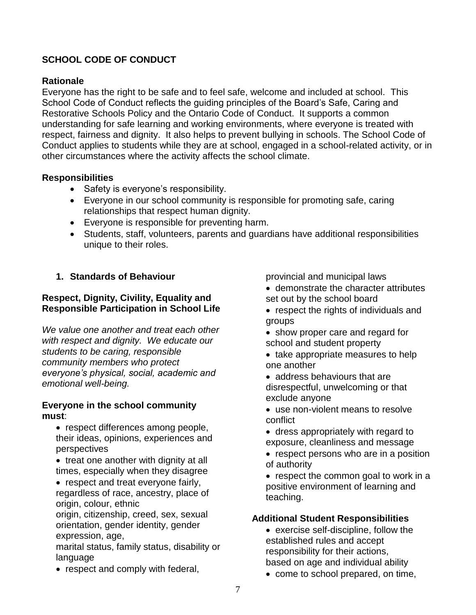# **SCHOOL CODE OF CONDUCT**

# **Rationale**

Everyone has the right to be safe and to feel safe, welcome and included at school. This School Code of Conduct reflects the guiding principles of the Board's Safe, Caring and Restorative Schools Policy and the Ontario Code of Conduct. It supports a common understanding for safe learning and working environments, where everyone is treated with respect, fairness and dignity. It also helps to prevent bullying in schools. The School Code of Conduct applies to students while they are at school, engaged in a school-related activity, or in other circumstances where the activity affects the school climate.

# **Responsibilities**

- Safety is everyone's responsibility.
- Everyone in our school community is responsible for promoting safe, caring relationships that respect human dignity.
- Everyone is responsible for preventing harm.
- Students, staff, volunteers, parents and guardians have additional responsibilities unique to their roles.

# **1. Standards of Behaviour**

# **Respect, Dignity, Civility, Equality and Responsible Participation in School Life**

*We value one another and treat each other with respect and dignity. We educate our students to be caring, responsible community members who protect everyone's physical, social, academic and emotional well-being.*

#### **Everyone in the school community must**:

- respect differences among people, their ideas, opinions, experiences and perspectives
- treat one another with dignity at all times, especially when they disagree
- respect and treat everyone fairly, regardless of race, ancestry, place of origin, colour, ethnic

origin, citizenship, creed, sex, sexual orientation, gender identity, gender expression, age,

marital status, family status, disability or language

• respect and comply with federal,

provincial and municipal laws

- demonstrate the character attributes set out by the school board
- respect the rights of individuals and groups
- show proper care and regard for school and student property
- take appropriate measures to help one another
- address behaviours that are disrespectful, unwelcoming or that exclude anyone
- use non-violent means to resolve conflict
- dress appropriately with regard to exposure, cleanliness and message
- respect persons who are in a position of authority
- respect the common goal to work in a positive environment of learning and teaching.

# **Additional Student Responsibilities**

- exercise self-discipline, follow the established rules and accept responsibility for their actions, based on age and individual ability
- come to school prepared, on time,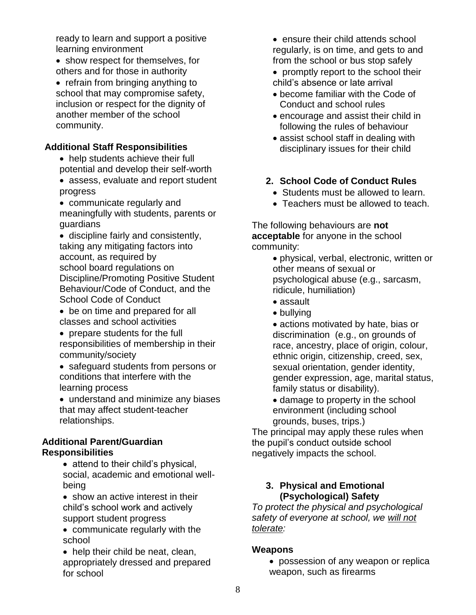ready to learn and support a positive learning environment

- show respect for themselves, for others and for those in authority
- refrain from bringing anything to school that may compromise safety, inclusion or respect for the dignity of another member of the school community.

# **Additional Staff Responsibilities**

- help students achieve their full potential and develop their self-worth
- assess, evaluate and report student progress
- communicate regularly and meaningfully with students, parents or guardians
- discipline fairly and consistently, taking any mitigating factors into account, as required by school board regulations on Discipline/Promoting Positive Student Behaviour/Code of Conduct, and the School Code of Conduct
- be on time and prepared for all classes and school activities
- prepare students for the full responsibilities of membership in their community/society
- safeguard students from persons or conditions that interfere with the learning process
- understand and minimize any biases that may affect student-teacher relationships.

### **Additional Parent/Guardian Responsibilities**

- attend to their child's physical, social, academic and emotional wellbeing
- show an active interest in their child's school work and actively support student progress
- communicate regularly with the school
- help their child be neat, clean, appropriately dressed and prepared for school
- ensure their child attends school regularly, is on time, and gets to and from the school or bus stop safely
- promptly report to the school their child's absence or late arrival
- become familiar with the Code of Conduct and school rules
- encourage and assist their child in following the rules of behaviour
- assist school staff in dealing with disciplinary issues for their child

# **2. School Code of Conduct Rules**

- Students must be allowed to learn.
- Teachers must be allowed to teach.

The following behaviours are **not acceptable** for anyone in the school community:

> physical, verbal, electronic, written or other means of sexual or psychological abuse (e.g., sarcasm, ridicule, humiliation)

- assault
- bullying
- actions motivated by hate, bias or discrimination (e.g., on grounds of race, ancestry, place of origin, colour, ethnic origin, citizenship, creed, sex, sexual orientation, gender identity, gender expression, age, marital status, family status or disability).
- damage to property in the school environment (including school grounds, buses, trips.)

The principal may apply these rules when the pupil's conduct outside school negatively impacts the school.

# **3. Physical and Emotional (Psychological) Safety**

*To protect the physical and psychological safety of everyone at school, we will not tolerate:*

# **Weapons**

 possession of any weapon or replica weapon, such as firearms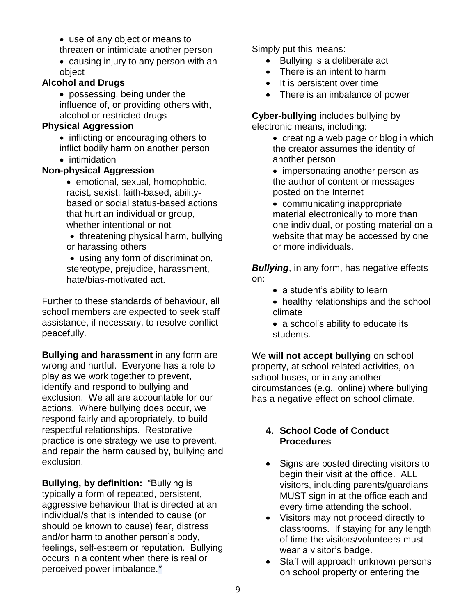- use of any object or means to threaten or intimidate another person
- causing injury to any person with an object

# **Alcohol and Drugs**

 possessing, being under the influence of, or providing others with, alcohol or restricted drugs

# **Physical Aggression**

• inflicting or encouraging others to inflict bodily harm on another person

• intimidation

# **Non-physical Aggression**

- emotional, sexual, homophobic, racist, sexist, faith-based, abilitybased or social status-based actions that hurt an individual or group, whether intentional or not
- $\bullet$  threatening physical harm, bullying or harassing others
- using any form of discrimination, stereotype, prejudice, harassment, hate/bias-motivated act.

Further to these standards of behaviour, all school members are expected to seek staff assistance, if necessary, to resolve conflict peacefully.

**Bullying and harassment** in any form are wrong and hurtful. Everyone has a role to play as we work together to prevent, identify and respond to bullying and exclusion. We all are accountable for our actions. Where bullying does occur, we respond fairly and appropriately, to build respectful relationships. Restorative practice is one strategy we use to prevent, and repair the harm caused by, bullying and exclusion.

**Bullying, by definition:** "Bullying is typically a form of repeated, persistent, aggressive behaviour that is directed at an individual/s that is intended to cause (or should be known to cause) fear, distress and/or harm to another person's body, feelings, self-esteem or reputation. Bullying occurs in a content when there is real or perceived power imbalance."

Simply put this means:

- Bullying is a deliberate act
- There is an intent to harm
- It is persistent over time
- There is an imbalance of power

**Cyber-bullying** includes bullying by electronic means, including:

- creating a web page or blog in which the creator assumes the identity of another person
- impersonating another person as the author of content or messages posted on the Internet

• communicating inappropriate material electronically to more than one individual, or posting material on a website that may be accessed by one or more individuals.

*Bullying*, in any form, has negative effects on:

- a student's ability to learn
- healthy relationships and the school climate
- a school's ability to educate its students.

We **will not accept bullying** on school property, at school-related activities, on school buses, or in any another circumstances (e.g., online) where bullying has a negative effect on school climate.

# **4. School Code of Conduct Procedures**

- Signs are posted directing visitors to begin their visit at the office. ALL visitors, including parents/guardians MUST sign in at the office each and every time attending the school.
- Visitors may not proceed directly to classrooms. If staying for any length of time the visitors/volunteers must wear a visitor's badge.
- Staff will approach unknown persons on school property or entering the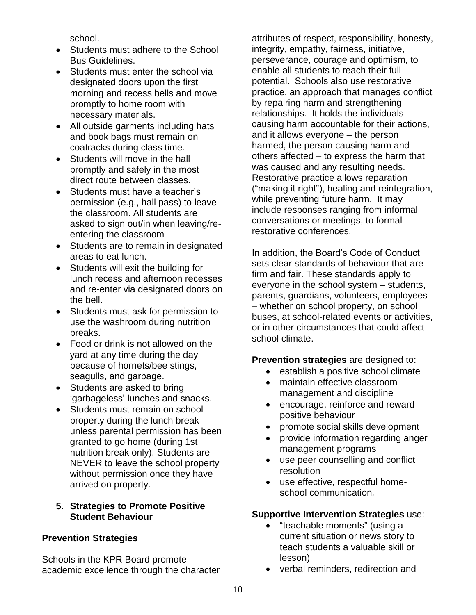school.

- Students must adhere to the School Bus Guidelines.
- Students must enter the school via designated doors upon the first morning and recess bells and move promptly to home room with necessary materials.
- All outside garments including hats and book bags must remain on coatracks during class time.
- Students will move in the hall promptly and safely in the most direct route between classes.
- Students must have a teacher's permission (e.g., hall pass) to leave the classroom. All students are asked to sign out/in when leaving/reentering the classroom
- Students are to remain in designated areas to eat lunch.
- Students will exit the building for lunch recess and afternoon recesses and re-enter via designated doors on the bell.
- Students must ask for permission to use the washroom during nutrition breaks.
- Food or drink is not allowed on the yard at any time during the day because of hornets/bee stings, seagulls, and garbage.
- Students are asked to bring 'garbageless' lunches and snacks.
- Students must remain on school property during the lunch break unless parental permission has been granted to go home (during 1st nutrition break only). Students are NEVER to leave the school property without permission once they have arrived on property.

# **5. Strategies to Promote Positive Student Behaviour**

# **Prevention Strategies**

Schools in the KPR Board promote academic excellence through the character attributes of respect, responsibility, honesty, integrity, empathy, fairness, initiative, perseverance, courage and optimism, to enable all students to reach their full potential. Schools also use restorative practice, an approach that manages conflict by repairing harm and strengthening relationships. It holds the individuals causing harm accountable for their actions, and it allows everyone – the person harmed, the person causing harm and others affected – to express the harm that was caused and any resulting needs. Restorative practice allows reparation ("making it right"), healing and reintegration, while preventing future harm. It may include responses ranging from informal conversations or meetings, to formal restorative conferences.

In addition, the Board's Code of Conduct sets clear standards of behaviour that are firm and fair. These standards apply to everyone in the school system – students, parents, guardians, volunteers, employees – whether on school property, on school buses, at school-related events or activities, or in other circumstances that could affect school climate.

#### **Prevention strategies** are designed to:

- establish a positive school climate
- maintain effective classroom management and discipline
- encourage, reinforce and reward positive behaviour
- promote social skills development
- provide information regarding anger management programs
- use peer counselling and conflict resolution
- use effective, respectful homeschool communication*.*

# **Supportive Intervention Strategies** use:

- "teachable moments" (using a current situation or news story to teach students a valuable skill or lesson)
- verbal reminders, redirection and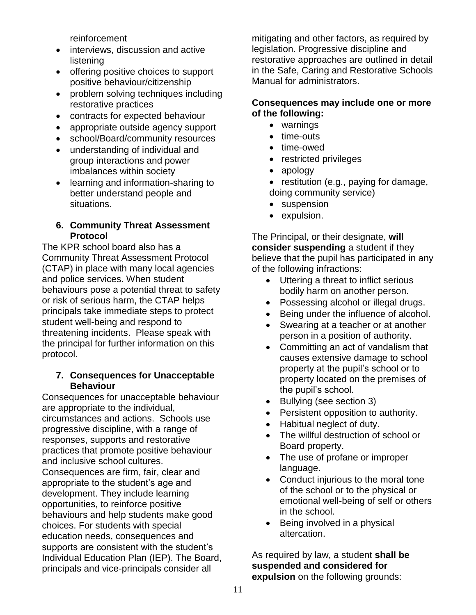reinforcement

- interviews, discussion and active listening
- offering positive choices to support positive behaviour/citizenship
- problem solving techniques including restorative practices
- contracts for expected behaviour
- appropriate outside agency support
- school/Board/community resources
- understanding of individual and group interactions and power imbalances within society
- learning and information-sharing to better understand people and situations.

### **6. Community Threat Assessment Protocol**

The KPR school board also has a Community Threat Assessment Protocol (CTAP) in place with many local agencies and police services. When student behaviours pose a potential threat to safety or risk of serious harm, the CTAP helps principals take immediate steps to protect student well-being and respond to threatening incidents. Please speak with the principal for further information on this protocol.

# **7. Consequences for Unacceptable Behaviour**

Consequences for unacceptable behaviour are appropriate to the individual, circumstances and actions. Schools use progressive discipline, with a range of responses, supports and restorative practices that promote positive behaviour and inclusive school cultures. Consequences are firm, fair, clear and appropriate to the student's age and development. They include learning opportunities, to reinforce positive behaviours and help students make good choices. For students with special education needs, consequences and supports are consistent with the student's Individual Education Plan (IEP). The Board, principals and vice-principals consider all

mitigating and other factors, as required by legislation. Progressive discipline and restorative approaches are outlined in detail in the Safe, Caring and Restorative Schools Manual for administrators.

#### **Consequences may include one or more of the following:**

- warnings
- time-outs
- time-owed
- restricted privileges
- apology
- $\bullet$  restitution (e.g., paying for damage, doing community service)
- suspension
- expulsion.

The Principal, or their designate, **will consider suspending** a student if they believe that the pupil has participated in any of the following infractions:

- Uttering a threat to inflict serious bodily harm on another person.
- Possessing alcohol or illegal drugs.
- Being under the influence of alcohol.
- Swearing at a teacher or at another person in a position of authority.
- Committing an act of vandalism that causes extensive damage to school property at the pupil's school or to property located on the premises of the pupil's school.
- Bullying (see section 3)
- Persistent opposition to authority.
- Habitual neglect of duty.
- The willful destruction of school or Board property.
- The use of profane or improper language.
- Conduct injurious to the moral tone of the school or to the physical or emotional well-being of self or others in the school.
- Being involved in a physical altercation.

As required by law, a student **shall be suspended and considered for expulsion** on the following grounds: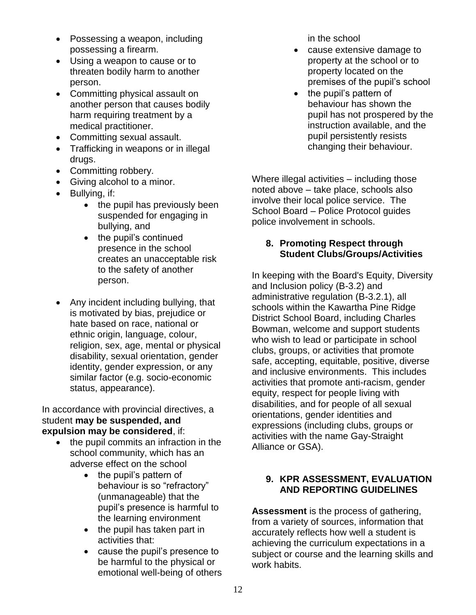- Possessing a weapon, including possessing a firearm.
- Using a weapon to cause or to threaten bodily harm to another person.
- Committing physical assault on another person that causes bodily harm requiring treatment by a medical practitioner.
- Committing sexual assault.
- Trafficking in weapons or in illegal drugs.
- Committing robbery.
- Giving alcohol to a minor.
- Bullying, if:
	- the pupil has previously been suspended for engaging in bullying, and
	- the pupil's continued presence in the school creates an unacceptable risk to the safety of another person.
- Any incident including bullying, that is motivated by bias, prejudice or hate based on race, national or ethnic origin, language, colour, religion, sex, age, mental or physical disability, sexual orientation, gender identity, gender expression, or any similar factor (e.g. socio-economic status, appearance).

In accordance with provincial directives, a student **may be suspended, and expulsion may be considered**, if:

- the pupil commits an infraction in the school community, which has an adverse effect on the school
	- the pupil's pattern of behaviour is so "refractory" (unmanageable) that the pupil's presence is harmful to the learning environment
	- $\bullet$  the pupil has taken part in activities that:
	- cause the pupil's presence to be harmful to the physical or emotional well-being of others

in the school

- cause extensive damage to property at the school or to property located on the premises of the pupil's school
- the pupil's pattern of behaviour has shown the pupil has not prospered by the instruction available, and the pupil persistently resists changing their behaviour.

Where illegal activities – including those noted above – take place, schools also involve their local police service. The School Board – Police Protocol guides police involvement in schools.

# **8. Promoting Respect through Student Clubs/Groups/Activities**

In keeping with the Board's Equity, Diversity and Inclusion policy (B-3.2) and administrative regulation (B-3.2.1), all schools within the Kawartha Pine Ridge District School Board, including Charles Bowman, welcome and support students who wish to lead or participate in school clubs, groups, or activities that promote safe, accepting, equitable, positive, diverse and inclusive environments. This includes activities that promote anti-racism, gender equity, respect for people living with disabilities, and for people of all sexual orientations, gender identities and expressions (including clubs, groups or activities with the name Gay-Straight Alliance or GSA).

# **9. KPR ASSESSMENT, EVALUATION AND REPORTING GUIDELINES**

**Assessment** is the process of gathering, from a variety of sources, information that accurately reflects how well a student is achieving the curriculum expectations in a subject or course and the learning skills and work habits.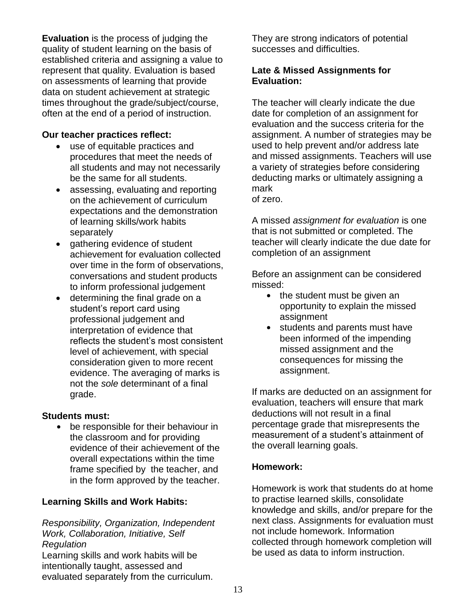**Evaluation** is the process of judging the quality of student learning on the basis of established criteria and assigning a value to represent that quality. Evaluation is based on assessments of learning that provide data on student achievement at strategic times throughout the grade/subject/course, often at the end of a period of instruction.

#### **Our teacher practices reflect:**

- use of equitable practices and procedures that meet the needs of all students and may not necessarily be the same for all students.
- assessing, evaluating and reporting on the achievement of curriculum expectations and the demonstration of learning skills/work habits separately
- gathering evidence of student achievement for evaluation collected over time in the form of observations, conversations and student products to inform professional judgement
- determining the final grade on a student's report card using professional judgement and interpretation of evidence that reflects the student's most consistent level of achievement, with special consideration given to more recent evidence. The averaging of marks is not the *sole* determinant of a final grade.

#### **Students must:**

be responsible for their behaviour in the classroom and for providing evidence of their achievement of the overall expectations within the time frame specified by the teacher, and in the form approved by the teacher.

# **Learning Skills and Work Habits:**

*Responsibility, Organization, Independent Work, Collaboration, Initiative, Self Regulation*

Learning skills and work habits will be intentionally taught, assessed and evaluated separately from the curriculum. They are strong indicators of potential successes and difficulties.

### **Late & Missed Assignments for Evaluation:**

The teacher will clearly indicate the due date for completion of an assignment for evaluation and the success criteria for the assignment. A number of strategies may be used to help prevent and/or address late and missed assignments. Teachers will use a variety of strategies before considering deducting marks or ultimately assigning a mark

of zero.

A missed *assignment for evaluation* is one that is not submitted or completed. The teacher will clearly indicate the due date for completion of an assignment

Before an assignment can be considered missed:

- $\bullet$  the student must be given an opportunity to explain the missed assignment
- students and parents must have been informed of the impending missed assignment and the consequences for missing the assignment.

If marks are deducted on an assignment for evaluation, teachers will ensure that mark deductions will not result in a final percentage grade that misrepresents the measurement of a student's attainment of the overall learning goals.

# **Homework:**

Homework is work that students do at home to practise learned skills, consolidate knowledge and skills, and/or prepare for the next class. Assignments for evaluation must not include homework. Information collected through homework completion will be used as data to inform instruction.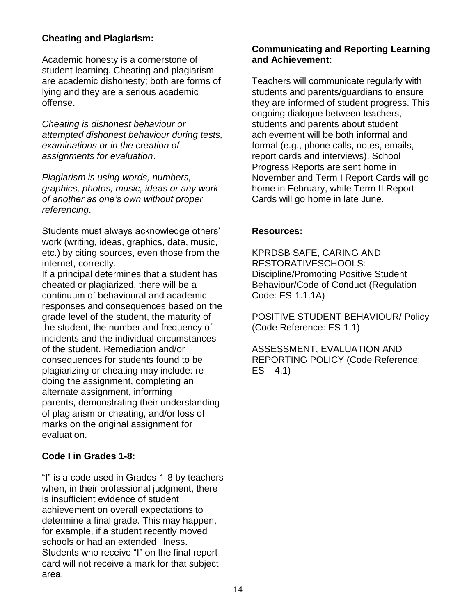### **Cheating and Plagiarism:**

Academic honesty is a cornerstone of student learning. Cheating and plagiarism are academic dishonesty; both are forms of lying and they are a serious academic offense.

*Cheating is dishonest behaviour or attempted dishonest behaviour during tests, examinations or in the creation of assignments for evaluation*.

*Plagiarism is using words, numbers, graphics, photos, music, ideas or any work of another as one's own without proper referencing*.

Students must always acknowledge others' work (writing, ideas, graphics, data, music, etc.) by citing sources, even those from the internet, correctly.

If a principal determines that a student has cheated or plagiarized, there will be a continuum of behavioural and academic responses and consequences based on the grade level of the student, the maturity of the student, the number and frequency of incidents and the individual circumstances of the student. Remediation and/or consequences for students found to be plagiarizing or cheating may include: redoing the assignment, completing an alternate assignment, informing parents, demonstrating their understanding of plagiarism or cheating, and/or loss of marks on the original assignment for evaluation.

#### **Code I in Grades 1-8:**

"I" is a code used in Grades 1-8 by teachers when, in their professional judgment, there is insufficient evidence of student achievement on overall expectations to determine a final grade. This may happen, for example, if a student recently moved schools or had an extended illness. Students who receive "I" on the final report card will not receive a mark for that subject area.

#### **Communicating and Reporting Learning and Achievement:**

Teachers will communicate regularly with students and parents/guardians to ensure they are informed of student progress. This ongoing dialogue between teachers, students and parents about student achievement will be both informal and formal (e.g., phone calls, notes, emails, report cards and interviews). School Progress Reports are sent home in November and Term I Report Cards will go home in February, while Term II Report Cards will go home in late June.

#### **Resources:**

KPRDSB SAFE, CARING AND RESTORATIVESCHOOLS: Discipline/Promoting Positive Student Behaviour/Code of Conduct (Regulation Code: ES-1.1.1A)

POSITIVE STUDENT BEHAVIOUR/ Policy (Code Reference: ES-1.1)

ASSESSMENT, EVALUATION AND REPORTING POLICY (Code Reference:  $ES - 4.1$